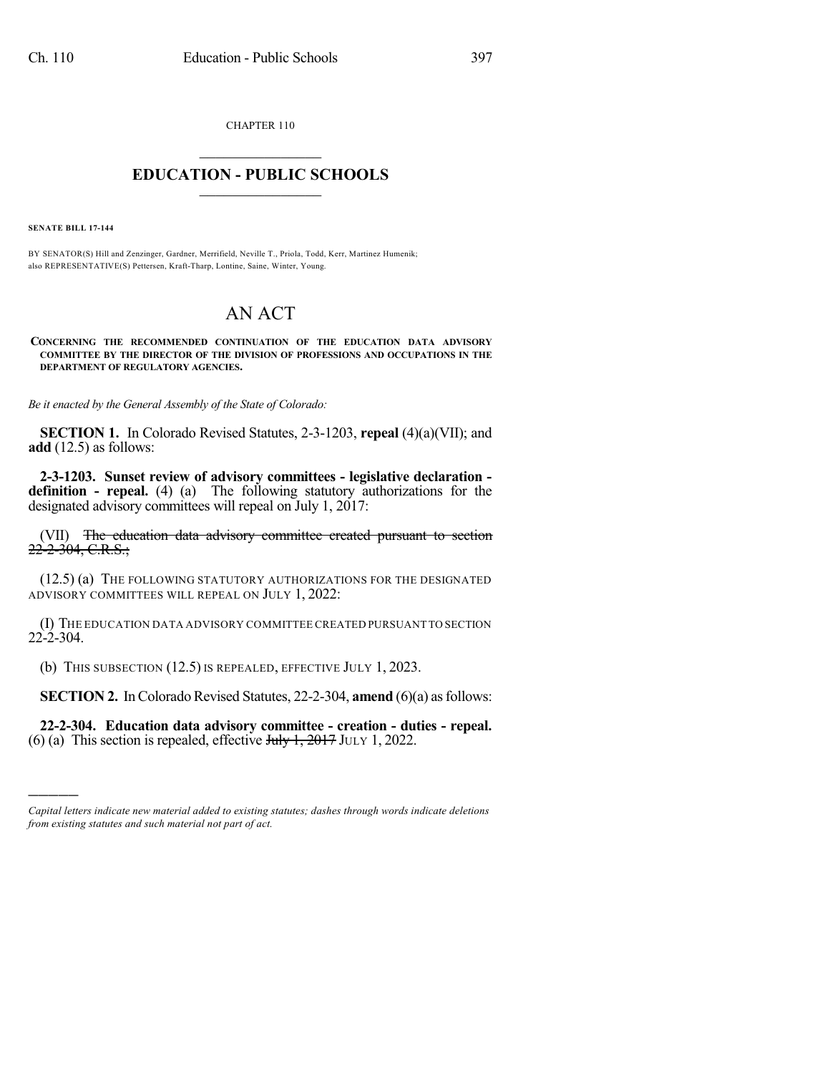CHAPTER 110

## $\mathcal{L}_\text{max}$  . The set of the set of the set of the set of the set of the set of the set of the set of the set of the set of the set of the set of the set of the set of the set of the set of the set of the set of the set **EDUCATION - PUBLIC SCHOOLS**  $\_$   $\_$   $\_$   $\_$   $\_$   $\_$   $\_$   $\_$   $\_$

**SENATE BILL 17-144**

)))))

BY SENATOR(S) Hill and Zenzinger, Gardner, Merrifield, Neville T., Priola, Todd, Kerr, Martinez Humenik; also REPRESENTATIVE(S) Pettersen, Kraft-Tharp, Lontine, Saine, Winter, Young.

## AN ACT

**CONCERNING THE RECOMMENDED CONTINUATION OF THE EDUCATION DATA ADVISORY COMMITTEE BY THE DIRECTOR OF THE DIVISION OF PROFESSIONS AND OCCUPATIONS IN THE DEPARTMENT OF REGULATORY AGENCIES.**

*Be it enacted by the General Assembly of the State of Colorado:*

**SECTION 1.** In Colorado Revised Statutes, 2-3-1203, **repeal** (4)(a)(VII); and **add** (12.5) as follows:

**2-3-1203. Sunset review of advisory committees - legislative declaration definition - repeal.** (4) (a) The following statutory authorizations for the designated advisory committees will repeal on July 1, 2017:

(VII) The education data advisory committee created pursuant to section  $22-2-304$ , C.R.S.;

(12.5) (a) THE FOLLOWING STATUTORY AUTHORIZATIONS FOR THE DESIGNATED ADVISORY COMMITTEES WILL REPEAL ON JULY 1, 2022:

(I) THE EDUCATION DATA ADVISORY COMMITTEE CREATED PURSUANT TO SECTION 22-2-304.

(b) THIS SUBSECTION (12.5) IS REPEALED, EFFECTIVE JULY 1, 2023.

**SECTION 2.** In Colorado Revised Statutes, 22-2-304, **amend** (6)(a) as follows:

**22-2-304. Education data advisory committee - creation - duties - repeal.** (6) (a) This section is repealed, effective  $J_{\text{uly}}$  1, 2017 JULY 1, 2022.

*Capital letters indicate new material added to existing statutes; dashes through words indicate deletions from existing statutes and such material not part of act.*